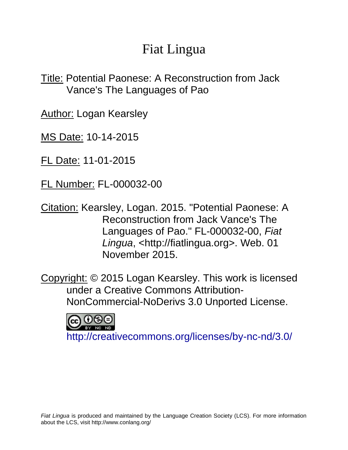# Fiat Lingua

Title: Potential Paonese: A Reconstruction from Jack Vance's The Languages of Pao

**Author: Logan Kearsley** 

MS Date: 10-14-2015

FL Date: 11-01-2015

FL Number: FL-000032-00

Citation: Kearsley, Logan. 2015. "Potential Paonese: A Reconstruction from Jack Vance's The Languages of Pao." FL-000032-00, *Fiat Lingua*, <http://fiatlingua.org>. Web. 01 November 2015.

Copyright: © 2015 Logan Kearsley. This work is licensed under a Creative Commons Attribution-NonCommercial-NoDerivs 3.0 Unported License.



<http://creativecommons.org/licenses/by-nc-nd/3.0/>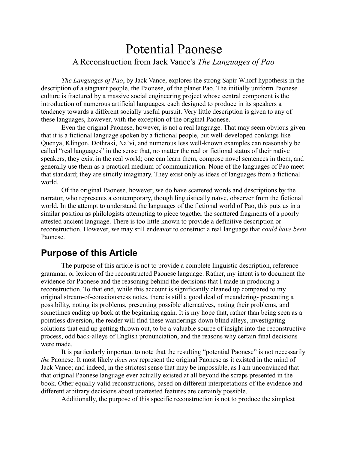## Potential Paonese A Reconstruction from Jack Vance's *The Languages of Pao*

*The Languages of Pao*, by Jack Vance, explores the strong Sapir-Whorf hypothesis in the description of a stagnant people, the Paonese, of the planet Pao. The initially uniform Paonese culture is fractured by a massive social engineering project whose central component is the introduction of numerous artificial languages, each designed to produce in its speakers a tendency towards a different socially useful pursuit. Very little description is given to any of these languages, however, with the exception of the original Paonese.

Even the original Paonese, however, is not a real language. That may seem obvious given that it is a fictional language spoken by a fictional people, but well-developed conlangs like Quenya, Klingon, Dothraki, Na'vi, and numerous less well-known examples can reasonably be called "real languages" in the sense that, no matter the real or fictional status of their native speakers, they exist in the real world; one can learn them, compose novel sentences in them, and generally use them as a practical medium of communication. None of the languages of Pao meet that standard; they are strictly imaginary. They exist only as ideas of languages from a fictional world.

Of the original Paonese, however, we do have scattered words and descriptions by the narrator, who represents a contemporary, though linguistically naïve, observer from the fictional world. In the attempt to understand the languages of the fictional world of Pao, this puts us in a similar position as philologists attempting to piece together the scattered fragments of a poorly attested ancient language. There is too little known to provide a definitive description or reconstruction. However, we may still endeavor to construct a real language that *could have been* Paonese.

## **Purpose of this Article**

The purpose of this article is not to provide a complete linguistic description, reference grammar, or lexicon of the reconstructed Paonese language. Rather, my intent is to document the evidence for Paonese and the reasoning behind the decisions that I made in producing a reconstruction. To that end, while this account is significantly cleaned up compared to my original stream-of-consciousness notes, there is still a good deal of meandering- presenting a possibility, noting its problems, presenting possible alternatives, noting their problems, and sometimes ending up back at the beginning again. It is my hope that, rather than being seen as a pointless diversion, the reader will find these wanderings down blind alleys, investigating solutions that end up getting thrown out, to be a valuable source of insight into the reconstructive process, odd back-alleys of English pronunciation, and the reasons why certain final decisions were made.

It is particularly important to note that the resulting "potential Paonese" is not necessarily *the* Paonese. It most likely *does not* represent the original Paonese as it existed in the mind of Jack Vance; and indeed, in the strictest sense that may be impossible, as I am unconvinced that that original Paonese language ever actually existed at all beyond the scraps presented in the book. Other equally valid reconstructions, based on different interpretations of the evidence and different arbitrary decisions about unattested features are certainly possible.

Additionally, the purpose of this specific reconstruction is not to produce the simplest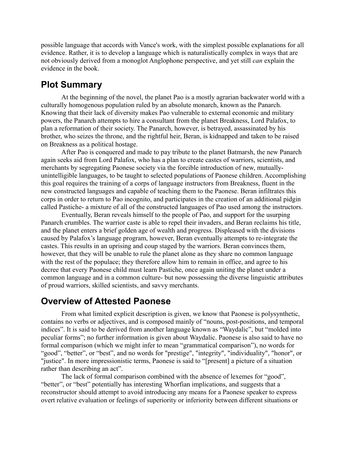possible language that accords with Vance's work, with the simplest possible explanations for all evidence. Rather, it is to develop a language which is naturalistically complex in ways that are not obviously derived from a monoglot Anglophone perspective, and yet still *can* explain the evidence in the book.

## **Plot Summary**

At the beginning of the novel, the planet Pao is a mostly agrarian backwater world with a culturally homogenous population ruled by an absolute monarch, known as the Panarch. Knowing that their lack of diversity makes Pao vulnerable to external economic and military powers, the Panarch attempts to hire a consultant from the planet Breakness, Lord Palafox, to plan a reformation of their society. The Panarch, however, is betrayed, assassinated by his brother, who seizes the throne, and the rightful heir, Beran, is kidnapped and taken to be raised on Breakness as a political hostage.

After Pao is conquered and made to pay tribute to the planet Batmarsh, the new Panarch again seeks aid from Lord Palafox, who has a plan to create castes of warriors, scientists, and merchants by segregating Paonese society via the forcible introduction of new, mutuallyunintelligible languages, to be taught to selected populations of Paonese children. Accomplishing this goal requires the training of a corps of language instructors from Breakness, fluent in the new constructed languages and capable of teaching them to the Paonese. Beran infiltrates this corps in order to return to Pao incognito, and participates in the creation of an additional pidgin called Pastiche- a mixture of all of the constructed languages of Pao used among the instructors.

Eventually, Beran reveals himself to the people of Pao, and support for the usurping Panarch crumbles. The warrior caste is able to repel their invaders, and Beran reclaims his title, and the planet enters a brief golden age of wealth and progress. Displeased with the divisions caused by Palafox's language program, however, Beran eventually attempts to re-integrate the castes. This results in an uprising and coup staged by the warriors. Beran convinces them, however, that they will be unable to rule the planet alone as they share no common language with the rest of the populace; they therefore allow him to remain in office, and agree to his decree that every Paonese child must learn Pastiche, once again uniting the planet under a common language and in a common culture- but now possessing the diverse linguistic attributes of proud warriors, skilled scientists, and savvy merchants.

## **Overview of Attested Paonese**

From what limited explicit description is given, we know that Paonese is polysynthetic, contains no verbs or adjectives, and is composed mainly of "nouns, post-positions, and temporal indices". It is said to be derived from another language known as "Waydalic", but "molded into peculiar forms"; no further information is given about Waydalic. Paonese is also said to have no formal comparison (which we might infer to mean "grammatical comparison"), no words for "good", "better", or "best", and no words for "prestige", "integrity", "individuality", "honor", or "justice". In more impressionistic terms, Paonese is said to "[present] a picture of a situation rather than describing an act".

The lack of formal comparison combined with the absence of lexemes for "good", "better", or "best" potentially has interesting Whorfian implications, and suggests that a reconstructor should attempt to avoid introducing any means for a Paonese speaker to express overt relative evaluation or feelings of superiority or inferiority between different situations or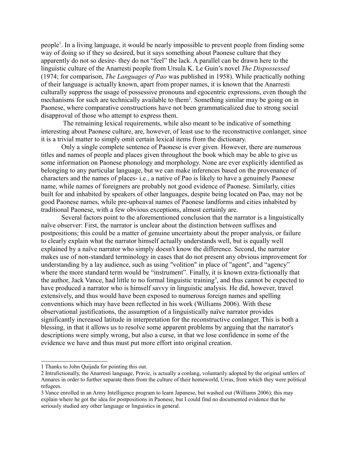people<sup>[1](#page-3-0)</sup>. In a living language, it would be nearly impossible to prevent people from finding some way of doing so if they so desired, but it says something about Paonese culture that they apparently do not so desire- they do not "feel" the lack. A parallel can be drawn here to the linguistic culture of the Anarresti people from Ursula K. Le Guin's novel *The Dispossessed*  (1974; for comparison, *The Languages of Pao* was published in 1958). While practically nothing of their language is actually known, apart from proper names, it is known that the Anarresti culturally suppress the usage of possessive pronouns and egocentric expressions, even though the mechanisms for such are technically available to them<sup>[2](#page-3-1)</sup>. Something similar may be going on in Paonese, where comparative constructions have not been grammaticalized due to strong social disapproval of those who attempt to express them.

 The remaining lexical requirements, while also meant to be indicative of something interesting about Paonese culture, are, however, of least use to the reconstructive conlanger, since it is a trivial matter to simply omit certain lexical items from the dictionary.

Only a single complete sentence of Paonese is ever given. However, there are numerous titles and names of people and places given throughout the book which may be able to give us some information on Paonese phonology and morphology. None are ever explicitly identified as belonging to any particular language, but we can make inferences based on the provenance of characters and the names of places- i.e., a native of Pao is likely to have a genuinely Paonese name, while names of foreigners are probably not good evidence of Paonese. Similarly, cities built for and inhabited by speakers of other languages, despite being located on Pao, may not be good Paonese names, while pre-upheaval names of Paonese landforms and cities inhabited by traditional Paonese, with a few obvious exceptions, almost certainly are.

Several factors point to the aforementioned conclusion that the narrator is a linguistically naïve observer: First, the narrator is unclear about the distinction between suffixes and postpositions; this could be a matter of genuine uncertainty about the proper analysis, or failure to clearly explain what the narrator himself actually understands well, but is equally well explained by a naïve narrator who simply doesn't know the difference. Second, the narrator makes use of non-standard terminology in cases that do not present any obvious improvement for understanding by a lay audience, such as using "volition" in place of "agent", and "agency" where the more standard term would be "instrument". Finally, it is known extra-fictionally that the author, Jack Vance, had little to no formal linguistic training<sup>[3](#page-3-2)</sup>, and thus cannot be expected to have produced a narrator who is himself savvy in linguistic analysis. He did, however, travel extensively, and thus would have been exposed to numerous foreign names and spelling conventions which may have been reflected in his work (Williams 2006). With these observational justifications, the assumption of a linguistically naïve narrator provides significantly increased latitude in interpretation for the reconstructive conlanger. This is both a blessing, in that it allows us to resolve some apparent problems by arguing that the narrator's descriptions were simply wrong, but also a curse, in that we lose confidence in some of the evidence we have and thus must put more effort into original creation.

<span id="page-3-0"></span><sup>1</sup> Thanks to John Quijada for pointing this out.

<span id="page-3-1"></span><sup>2</sup> Intrafictionally, the Anarresti language, Pravic, is actually a conlang, voluntarily adopted by the original settlers of Annares in order to further separate them from the culture of their homeworld, Urras, from which they were political refugees.

<span id="page-3-2"></span><sup>3</sup> Vance enrolled in an Army Intelligence program to learn Japanese, but washed out (Williams 2006); this may explain where he got the idea for postpositions in Paonese, but I could find no documented evidence that he seriously studied any other language or linguistics in general.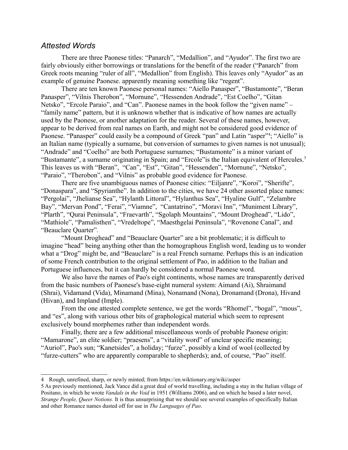#### *Attested Words*

There are three Paonese titles: "Panarch", "Medallion", and "Ayudor". The first two are fairly obviously either borrowings or translations for the benefit of the reader ("Panarch" from Greek roots meaning "ruler of all", "Medallion" from English). This leaves only "Ayudor" as an example of genuine Paonese. apparently meaning something like "regent".

There are ten known Paonese personal names: "Aiello Panasper", "Bustamonte", "Beran Panasper", "Vilnis Therobon", "Mornune", "Hessenden Andrade", "Est Coelho", "Gitan Netsko", "Ercole Paraio", and "Can". Paonese names in the book follow the "given name" – "family name" pattern, but it is unknown whether that is indicative of how names are actually used by the Paonese, or another adaptation for the reader. Several of these names, however, appear to be derived from real names on Earth, and might not be considered good evidence of Paonese. "Panasper" could easily be a compound of Greek "pan" and Latin "asper"<sup>[4](#page-4-0)</sup>; "Aiello" is an Italian name (typically a surname, but conversion of surnames to given names is not unusual); "Andrade" and "Coelho" are both Portuguese surnames; "Bustamonte" is a minor variant of "Bustamante", a surname originating in Spain; and "Ercole" is the Italian equivalent of Hercules.<sup>[5](#page-4-1)</sup> This leaves us with "Beran", "Can", "Est", "Gitan", "Hessenden", "Mornune", "Netsko", "Paraio", "Therobon", and "Vilnis" as probable good evidence for Paonese.

There are five unambiguous names of Paonese cities: "Eiljanre", "Koroi", "Sherifte", "Donaspara", and "Spyrianthe". In addition to the cities, we have 24 other assorted place names: "Pergolai", "Jhelianse Sea", "Hylanth Littoral", "Hylanthus Sea", "Hyaline Gulf", "Zelambre Bay", "Mervan Pond", "Ferai", "Viamne", "Cantatrino", "Moravi Inn", "Muniment Library", "Plarth", "Qurai Peninsula", "Fraevarth", "Sgolaph Mountains", "Mount Droghead", "Lido", "Mathiole", "Pamalisthen", "Vredeltope", "Maesthgelai Peninsula", "Rovenone Canal", and "Beauclare Quarter".

"Mount Droghead" and "Beauclare Quarter" are a bit problematic; it is difficult to imagine "head" being anything other than the homographous English word, leading us to wonder what a "Drog" might be, and "Beauclare" is a real French surname. Perhaps this is an indication of some French contribution to the original settlement of Pao, in addition to the Italian and Portuguese influences, but it can hardly be considered a normal Paonese word.

We also have the names of Pao's eight continents, whose names are transparently derived from the basic numbers of Paonese's base-eight numeral system: Aimand (Ai), Shraimand (Shrai), Vidamand (Vida), Minamand (Mina), Nonamand (Nona), Dronamand (Drona), Hivand (Hivan), and Impland (Imple).

From the one attested complete sentence, we get the words "Rhomel", "bogal", "mous", and "es", along with various other bits of graphological material which seem to represent exclusively bound morphemes rather than independent words.

Finally, there are a few additional miscellaneous words of probable Paonese origin: "Mamarone", an elite soldier; "praesens", a "vitality word" of unclear specific meaning; "Auriol", Pao's sun; "Kanetsides", a holiday; "furze", possibly a kind of wool (collected by "furze-cutters" who are apparently comparable to shepherds); and, of course, "Pao" itself.

<span id="page-4-0"></span><sup>4</sup> Rough, unrefined, sharp, or newly minted; from https://en.wiktionary.org/wiki/asper

<span id="page-4-1"></span><sup>5</sup> As previously mentioned, Jack Vance did a great deal of world travelling, including a stay in the Italian village of Positano, in which he wrote *Vandals in the Void* in 1951 (Williams 2006), and on which he based a later novel, *Strange People, Queer Notions.* It is thus unsurprising that we should see several examples of specifically Italian and other Romance names dusted off for use in *The Languages of Pao*.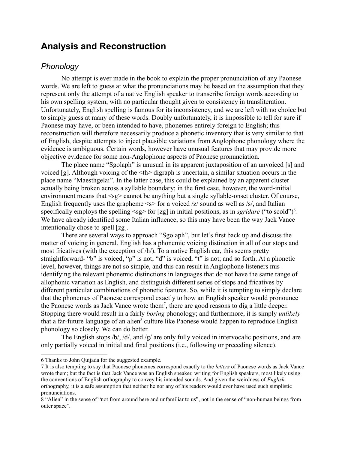## **Analysis and Reconstruction**

## *Phonology*

No attempt is ever made in the book to explain the proper pronunciation of any Paonese words. We are left to guess at what the pronunciations may be based on the assumption that they represent only the attempt of a native English speaker to transcribe foreign words according to his own spelling system, with no particular thought given to consistency in transliteration. Unfortunately, English spelling is famous for its inconsistency, and we are left with no choice but to simply guess at many of these words. Doubly unfortunately, it is impossible to tell for sure if Paonese may have, or been intended to have, phonemes entirely foreign to English; this reconstruction will therefore necessarily produce a phonetic inventory that is very similar to that of English, despite attempts to inject plausible variations from Anglophone phonology where the evidence is ambiguous. Certain words, however have unusual features that may provide more objective evidence for some non-Anglophone aspects of Paonese pronunciation.

The place name "Sgolaph" is unusual in its apparent juxtaposition of an unvoiced [s] and voiced [g]. Although voicing of the <th> digraph is uncertain, a similar situation occurs in the place name "Maesthgelai". In the latter case, this could be explained by an apparent cluster actually being broken across a syllable boundary; in the first case, however, the word-initial environment means that  $\langle s g \rangle$  cannot be anything but a single syllable-onset cluster. Of course, English frequently uses the grapheme  $\leq s$  for a voiced /z/ sound as well as /s/, and Italian specifically employs the spelling  $\langle \text{sg} \rangle$  for [zg] in initial positions, as in *sgridare* ("to scold")<sup>[6](#page-5-0)</sup>. We have already identified some Italian influence, so this may have been the way Jack Vance intentionally chose to spell [zg].

There are several ways to approach "Sgolaph", but let's first back up and discuss the matter of voicing in general. English has a phonemic voicing distinction in all of our stops and most fricatives (with the exception of  $/h/$ ). To a native English ear, this seems pretty straightforward- "b" is voiced, "p" is not; "d" is voiced, "t" is not; and so forth. At a phonetic level, however, things are not so simple, and this can result in Anglophone listeners misidentifying the relevant phonemic distinctions in languages that do not have the same range of allophonic variation as English, and distinguish different series of stops and fricatives by different particular combinations of phonetic features. So, while it is tempting to simply declare that the phonemes of Paonese correspond exactly to how an English speaker would pronounce the Paonese words as Jack Vance wrote them<sup>[7](#page-5-1)</sup>, there are good reasons to dig a little deeper. Stopping there would result in a fairly *boring* phonology; and furthermore, it is simply *unlikely* that a far-future language of an alien<sup>[8](#page-5-2)</sup> culture like Paonese would happen to reproduce English phonology so closely. We can do better.

The English stops  $/b/$ ,  $/d/$ , and  $/g/$  are only fully voiced in intervocalic positions, and are only partially voiced in initial and final positions (i.e., following or preceding silence).

<span id="page-5-0"></span><sup>6</sup> Thanks to John Quijada for the suggested example.

<span id="page-5-1"></span><sup>7</sup> It is also tempting to say that Paonese phonemes correspond exactly to the *letters* of Paonese words as Jack Vance wrote them; but the fact is that Jack Vance was an English speaker, writing for English speakers, most likely using the conventions of English orthography to convey his intended sounds. And given the weirdness of *English* orthography, it is a safe assumption that neither he nor any of his readers would ever have used such simplistic pronunciations.

<span id="page-5-2"></span><sup>8 &</sup>quot;Alien" in the sense of "not from around here and unfamiliar to us", not in the sense of "non-human beings from outer space".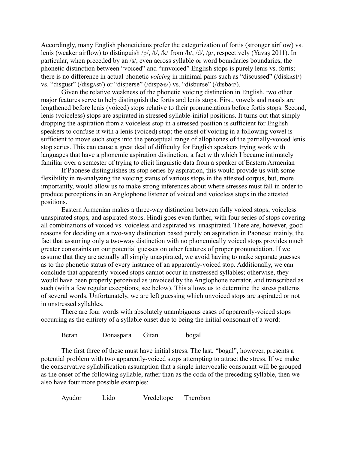Accordingly, many English phoneticians prefer the categorization of fortis (stronger airflow) vs. lenis (weaker airflow) to distinguish /p/, /t/, /k/ from /b/, /d/, /g/, respectively (Yavaş 2011). In particular, when preceded by an /s/, even across syllable or word boundaries boundaries, the phonetic distinction between "voiced" and "unvoiced" English stops is purely lenis vs. fortis; there is no difference in actual phonetic *voicing* in minimal pairs such as "discussed" (/diskʌst/) vs. "disgust" (/disg $\alpha$ st/) or "disperse" (/dɪspə·s/) vs. "disburse" (/dɪsbə·r/).

Given the relative weakness of the phonetic voicing distinction in English, two other major features serve to help distinguish the fortis and lenis stops. First, vowels and nasals are lengthened before lenis (voiced) stops relative to their pronunciations before fortis stops. Second, lenis (voiceless) stops are aspirated in stressed syllable-initial positions. It turns out that simply dropping the aspiration from a voiceless stop in a stressed position is sufficient for English speakers to confuse it with a lenis (voiced) stop; the onset of voicing in a following vowel is sufficient to move such stops into the perceptual range of allophones of the partially-voiced lenis stop series. This can cause a great deal of difficulty for English speakers trying work with languages that have a phonemic aspiration distinction, a fact with which I became intimately familiar over a semester of trying to elicit linguistic data from a speaker of Eastern Armenian

If Paonese distinguishes its stop series by aspiration, this would provide us with some flexibility in re-analyzing the voicing status of various stops in the attested corpus, but, more importantly, would allow us to make strong inferences about where stresses must fall in order to produce perceptions in an Anglophone listener of voiced and voiceless stops in the attested positions.

Eastern Armenian makes a three-way distinction between fully voiced stops, voiceless unaspirated stops, and aspirated stops. Hindi goes even further, with four series of stops covering all combinations of voiced vs. voiceless and aspirated vs. unaspirated. There are, however, good reasons for deciding on a two-way distinction based purely on aspiration in Paonese: mainly, the fact that assuming only a two-way distinction with no phonemically voiced stops provides much greater constraints on our potential guesses on other features of proper pronunciation. If we assume that they are actually all simply unaspirated, we avoid having to make separate guesses as to the phonetic status of every instance of an apparently-voiced stop. Additionally, we can conclude that apparently-voiced stops cannot occur in unstressed syllables; otherwise, they would have been properly perceived as unvoiced by the Anglophone narrator, and transcribed as such (with a few regular exceptions; see below). This allows us to determine the stress patterns of several words. Unfortunately, we are left guessing which unvoiced stops are aspirated or not in unstressed syllables.

There are four words with absolutely unambiguous cases of apparently-voiced stops occurring as the entirety of a syllable onset due to being the initial consonant of a word:

Beran Donaspara Gitan bogal

The first three of these must have initial stress. The last, "bogal", however, presents a potential problem with two apparently-voiced stops attempting to attract the stress. If we make the conservative syllabification assumption that a single intervocalic consonant will be grouped as the onset of the following syllable, rather than as the coda of the preceding syllable, then we also have four more possible examples:

Ayudor Lido Vredeltope Therobon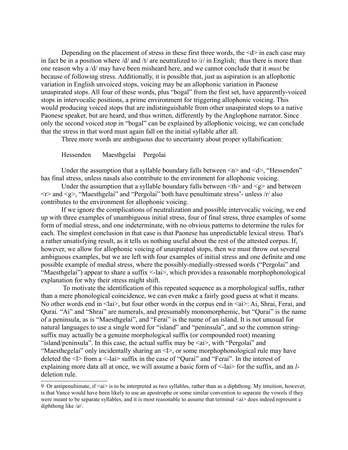Depending on the placement of stress in these first three words, the  $\le d$  in each case may in fact be in a position where /d/ and /t/ are neutralized to / $r/$  in English; thus there is more than one reason why a /d/ may have been misheard here, and we cannot conclude that it *must* be because of following stress. Additionally, it is possible that, just as aspiration is an allophonic variation in English unvoiced stops, voicing may be an allophonic variation in Paonese unaspirated stops. All four of these words, plus "bogal" from the first set, have apparently-voiced stops in intervocalic positions, a prime environment for triggering allophonic voicing. This would producing voiced stops that are indistinguishable from other unaspirated stops to a native Paonese speaker, but are heard, and thus written, differently by the Anglophone narrator. Since only the second voiced stop in "bogal" can be explained by allophonic voicing, we can conclude that the stress in that word must again fall on the initial syllable after all.

Three more words are ambiguous due to uncertainty about proper syllabification:

Hessenden Maesthgelai Pergolai

Under the assumption that a syllable boundary falls between  $\langle n \rangle$  and  $\langle d \rangle$ , "Hessenden" has final stress, unless nasals also contribute to the environment for allophonic voicing.

Under the assumption that a syllable boundary falls between  $\langle th \rangle$  and  $\langle g \rangle$  and between  $\langle r \rangle$  and  $\langle g \rangle$ , "Maesthgelai" and "Pergolai" both have penultimate stress<sup>[9](#page-7-0)</sup>- unless /r/ also contributes to the environment for allophonic voicing.

If we ignore the complications of neutralization and possible intervocalic voicing, we end up with three examples of unambiguous initial stress, four of final stress, three examples of some form of medial stress, and one indeterminate, with no obvious patterns to determine the rules for each. The simplest conclusion in that case is that Paonese has unpredictable lexical stress. That's a rather unsatisfying result, as it tells us nothing useful about the rest of the attested corpus. If, however, we allow for allophonic voicing of unaspirated stops, then we must throw out several ambiguous examples, but we are left with four examples of initial stress and one definite and one possible example of medial stress, where the possibly-medially-stressed words ("Pergolai" and "Maesthgelai") appear to share a suffix <-lai>, which provides a reasonable morphophonological explanation for why their stress might shift.

 To motivate the identification of this repeated sequence as a morphological suffix, rather than a mere phonological coincidence, we can even make a fairly good guess at what it means. No other words end in  $\langle a \rangle$ , but four other words in the corpus end in  $\langle a \rangle$ : Ai, Shrai, Ferai, and Qurai. "Ai" and "Shrai" are numerals, and presumably monomorphemic, but "Qurai" is the name of a peninsula, as is "Maesthgelai", and "Ferai" is the name of an island. It is not unusual for natural languages to use a single word for "island" and "peninsula", and so the common stringsuffix may actually be a genuine morphological suffix (or compounded root) meaning "island/peninsula". In this case, the actual suffix may be  $\langle ai \rangle$ , with "Pergolai" and "Maesthegelai" only incidentally sharing an <l>, or some morphophonological rule may have deleted the <l> from a <-lai> suffix in the case of "Qurai" and "Ferai". In the interest of explaining more data all at once, we will assume a basic form of <-lai> for the suffix, and an *l*deletion rule.

<span id="page-7-0"></span><sup>9</sup> Or antipenultimate, if  $\langle ai \rangle$  is to be interpreted as two syllables, rather than as a diphthong. My intuition, however, is that Vance would have been likely to use an apostrophe or some similar convention to separate the vowels if they were meant to be separate syllables, and it is most reasonable to assume that terminal  $\langle ai \rangle$  does indeed represent a diphthong like /aʲ/.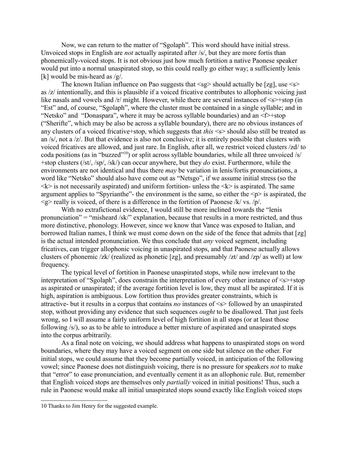Now, we can return to the matter of "Sgolaph". This word should have initial stress. Unvoiced stops in English are *not* actually aspirated after /s/, but they are more fortis than phonemically-voiced stops. It is not obvious just how much fortition a native Paonese speaker would put into a normal unaspirated stop, so this could really go either way; a sufficiently lenis [k] would be mis-heard as  $/g$ .

The known Italian influence on Pao suggests that  $\langle s g \rangle$  should actually be [zg], use  $\langle s \rangle$ as /z/ intentionally, and this is plausible if a voiced fricative contributes to allophonic voicing just like nasals and vowels and  $/r$  might. However, while there are several instances of  $\leq s$  +stop (in "Est" and, of course, "Sgolaph", where the cluster must be contained in a single syllable; and in "Netsko" and "Donaspara", where it may be across syllable boundaries) and an <f>+stop ("Sherifte", which may be also be across a syllable boundary), there are no obvious instances of any clusters of a voiced fricative+stop, which suggests that *this* <s> should also still be treated as an /s/, not a /z/. But that evidence is also not conclusive; it is entirely possible that clusters with voiced fricatives are allowed, and just rare. In English, after all, we restrict voiced clusters /zd/ to coda positions (as in "buzzed"[10](#page-8-0)) or split across syllable boundaries, while all three unvoiced /s/ +stop clusters (/st/, /sp/, /sk/) can occur anywhere, but they *do* exist. Furthermore, while the environments are not identical and thus there *may* be variation in lenis/fortis pronunciations, a word like "Netsko" should also have come out as "Netsgo", if we assume initial stress (so the  $\langle k \rangle$  is not necessarily aspirated) and uniform fortition- unless the  $\langle k \rangle$  is aspirated. The same argument applies to "Spyrianthe"- the environment is the same, so either the  $\langle p \rangle$  is aspirated, the  $\langle \varphi \rangle$  really is voiced, of there is a difference in the fortition of Paonese /k/ vs. /p/.

With no extrafictional evidence, I would still be more inclined towards the "lenis pronunciation" = "misheard /sk/" explanation, because that results in a more restricted, and thus more distinctive, phonology. However, since we know that Vance was exposed to Italian, and borrowed Italian names, I think we must come down on the side of the fence that admits that [zg] is the actual intended pronunciation. We thus conclude that *any* voiced segment, including fricatives, can trigger allophonic voicing in unaspirated stops, and that Paonese actually allows clusters of phonemic /zk/ (realized as phonetic [zg], and presumably /zt/ and /zp/ as well) at low frequency.

The typical level of fortition in Paonese unaspirated stops, while now irrelevant to the interpretation of "Sgolaph", does constrain the interpretation of every other instance of  $\leq s$  +stop as aspirated or unaspirated; if the average fortition level is low, they must all be aspirated. If it is high, aspiration is ambiguous. Low fortition thus provides greater constraints, which is attractive- but it results in a corpus that contains *no* instances of <s> followed by an unaspirated stop, without providing any evidence that such sequences *ought* to be disallowed. That just feels wrong, so I will assume a fairly uniform level of high fortition in all stops (or at least those following /s/), so as to be able to introduce a better mixture of aspirated and unaspirated stops into the corpus arbitrarily.

As a final note on voicing, we should address what happens to unaspirated stops on word boundaries, where they may have a voiced segment on one side but silence on the other. For initial stops, we could assume that they become partially voiced, in anticipation of the following vowel; since Paonese does not distinguish voicing, there is no pressure for speakers *not* to make that "error" to ease pronunciation, and eventually cement it as an allophonic rule. But, remember that English voiced stops are themselves only *partially* voiced in initial positions! Thus, such a rule in Paonese would make all initial unaspirated stops sound exactly like English voiced stops

<span id="page-8-0"></span><sup>10</sup> Thanks to Jim Henry for the suggested example.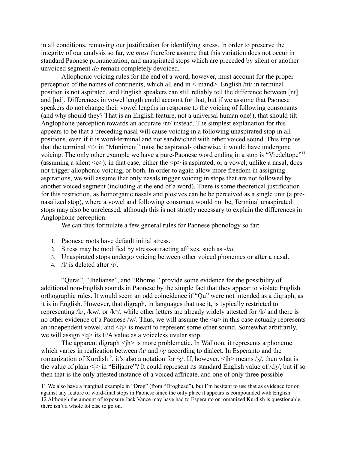in all conditions, removing our justification for identifying stress. In order to preserve the integrity of our analysis so far, we *must* therefore assume that this variation does not occur in standard Paonese pronunciation, and unaspirated stops which are preceded by silent or another unvoiced segment *do* remain completely devoiced.

Allophonic voicing rules for the end of a word, however, must account for the proper perception of the names of continents, which all end in <-mand>. English /nt/ in terminal position is not aspirated, and English speakers can still reliably tell the difference between [nt] and [nd]. Differences in vowel length could account for that, but if we assume that Paonese speakers do not change their vowel lengths in response to the voicing of following consonants (and why should they? That is an English feature, not a universal human one!), that should tilt Anglophone perception towards an accurate /nt/ instead. The simplest explanation for this appears to be that a preceding nasal will cause voicing in a following unaspirated stop in all positions, even if it is word-terminal and not sandwiched with other voiced sound. This implies that the terminal  $\leq$  in "Muniment" must be aspirated- otherwise, it would have undergone voicing. The only other example we have a pure-Paonese word ending in a stop is "Vredeltope"[11](#page-9-0) (assuming a silent  $\leq e$ ); in that case, either the  $\leq p$  is aspirated, or a vowel, unlike a nasal, does not trigger allophonic voicing, or both. In order to again allow more freedom in assigning aspirations, we will assume that only nasals trigger voicing in stops that are not followed by another voiced segment (including at the end of a word). There is some theoretical justification for this restriction, as homorganic nasals and plosives can be be perceived as a single unit (a prenasalized stop), where a vowel and following consonant would not be, Terminal unaspirated stops may also be unreleased, although this is not strictly necessary to explain the differences in Anglophone perception.

We can thus formulate a few general rules for Paonese phonology so far:

- 1. Paonese roots have default initial stress.
- 2. Stress may be modified by stress-attracting affixes, such as *-lai.*
- 3. Unaspirated stops undergo voicing between other voiced phonemes or after a nasal.
- 4. /l/ is deleted after /r/.

"Qurai", "Jhelianse", and "Rhomel" provide some evidence for the possibility of additional non-English sounds in Paonese by the simple fact that they appear to violate English orthographic rules. It would seem an odd coincidence if "Qu" were not intended as a digraph, as it is in English. However, that digraph, in languages that use it, is typically restricted to representing /k/, /kw/, or /kʷ/, while other letters are already widely attested for /k/ and there is no other evidence of a Paonese /w/. Thus, we will assume the  $\langle u \rangle$  in this case actually represents an independent vowel, and  $\leq q$  is meant to represent some other sound. Somewhat arbitrarily, we will assign <q> its IPA value as a voiceless uvular stop.

The apparent digraph  $\langle jh \rangle$  is more problematic. In Walloon, it represents a phoneme which varies in realization between /h/ and /ʒ/ according to dialect. In Esperanto and the romanization of Kurdish<sup>[12](#page-9-1)</sup>, it's also a notation for /ʒ/. If, however,  $\langle h \rangle$  means /ʒ/, then what is the value of plain  $\leq i$  in "Eiljanre"? It could represent its standard English value of  $\frac{dg}{dy}$ , but if so then that is the only attested instance of a voiced affricate, and one of only three possible

<span id="page-9-1"></span><span id="page-9-0"></span><sup>11</sup> We also have a marginal example in "Drog" (from "Droghead"), but I'm hesitant to use that as evidence for or against any feature of word-final stops in Paonese since the only place it appears is compounded with English. 12 Although the amount of exposure Jack Vance may have had to Esperanto or romanized Kurdish is questionable, there isn't a whole lot else to go on.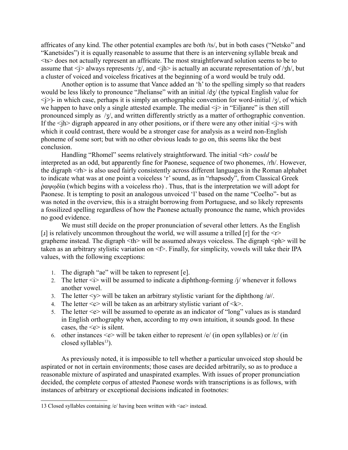affricates of any kind. The other potential examples are both /ts/, but in both cases ("Netsko" and "Kanetsides") it is equally reasonable to assume that there is an intervening syllable break and <ts> does not actually represent an affricate. The most straightforward solution seems to be to assume that  $\langle i \rangle$  always represents  $\langle i \rangle$ , and  $\langle i \rangle$  is actually an accurate representation of  $\langle i \rangle$ h/, but a cluster of voiced and voiceless fricatives at the beginning of a word would be truly odd.

Another option is to assume that Vance added an 'h' to the spelling simply so that readers would be less likely to pronounce "Jhelianse" with an initial  $\frac{d}{dx}$  (the typical English value for  $\langle \cdot | \cdot \rangle$ - in which case, perhaps it is simply an orthographic convention for word-initial /ʒ/, of which we happen to have only a single attested example. The medial  $\langle i \rangle$  in "Eiljanre" is then still pronounced simply as /ʒ/, and written differently strictly as a matter of orthographic convention. If the  $\langle i \rangle$  digraph appeared in any other positions, or if there were any other initial  $\langle i \rangle$ s with which it could contrast, there would be a stronger case for analysis as a weird non-English phoneme of some sort; but with no other obvious leads to go on, this seems like the best conclusion.

Handling "Rhomel" seems relatively straightforward. The initial  $\langle \text{rh} \rangle$  *could* be interpreted as an odd, but apparently fine for Paonese, sequence of two phonemes, /rh/. However, the digraph <rh> is also used fairly consistently across different languages in the Roman alphabet to indicate what was at one point a voiceless 'r' sound, as in "rhapsody", from Classical Greek ῥαψῳδία (which begins with a voiceless rho) . Thus, that is the interpretation we will adopt for Paonese. It is tempting to posit an analogous unvoiced 'l' based on the name "Coelho"- but as was noted in the overview, this is a straight borrowing from Portuguese, and so likely represents a fossilized spelling regardless of how the Paonese actually pronounce the name, which provides no good evidence.

We must still decide on the proper pronunciation of several other letters. As the English [I] is relatively uncommon throughout the world, we will assume a trilled [r] for the  $\leq r$ grapheme instead. The digraph  $\langle th \rangle$  will be assumed always voiceless. The digraph  $\langle ph \rangle$  will be taken as an arbitrary stylistic variation on <f>. Finally, for simplicity, vowels will take their IPA values, with the following exceptions:

- 1. The digraph "ae" will be taken to represent [e].
- 2. The letter  $\langle i \rangle$  will be assumed to indicate a diphthong-forming /j/ whenever it follows another vowel.
- 3. The letter  $\langle y \rangle$  will be taken an arbitrary stylistic variant for the diphthong /a<sup>j</sup>/.
- 4. The letter  $\langle c \rangle$  will be taken as an arbitrary stylistic variant of  $\langle k \rangle$ .
- 5. The letter  $\leq e$  will be assumed to operate as an indicator of "long" values as is standard in English orthography when, according to my own intuition, it sounds good. In these cases, the  $\leq e$  is silent.
- 6. other instances  $\leq e$  will be taken either to represent /e/ (in open syllables) or / $\varepsilon$ / (in closed syllables $^{13}$  $^{13}$  $^{13}$ ).

As previously noted, it is impossible to tell whether a particular unvoiced stop should be aspirated or not in certain environments; those cases are decided arbitrarily, so as to produce a reasonable mixture of aspirated and unaspirated examples. With issues of proper pronunciation decided, the complete corpus of attested Paonese words with transcriptions is as follows, with instances of arbitrary or exceptional decisions indicated in footnotes:

<span id="page-10-0"></span><sup>13</sup> Closed syllables containing /e/ having been written with <ae> instead.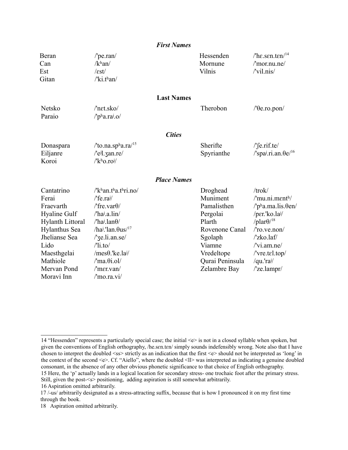|                                                                                                                                                                               | <b>First Names</b>                                                                                                                                                                                                                                                                                                                                                                                                               |                                                                                                                                                   |                                                                                                                                                                                                                                          |
|-------------------------------------------------------------------------------------------------------------------------------------------------------------------------------|----------------------------------------------------------------------------------------------------------------------------------------------------------------------------------------------------------------------------------------------------------------------------------------------------------------------------------------------------------------------------------------------------------------------------------|---------------------------------------------------------------------------------------------------------------------------------------------------|------------------------------------------------------------------------------------------------------------------------------------------------------------------------------------------------------------------------------------------|
| Beran<br>Can<br>Est<br>Gitan                                                                                                                                                  | $/$ pe.ran $/$<br>/k <sup>h</sup> an/<br>$\sqrt{\varepsilon}$ st $\sqrt{\varepsilon}$<br>$\sqrt{k}$ i.than/                                                                                                                                                                                                                                                                                                                      | Hessenden<br>Mornune<br>Vilnis                                                                                                                    | /'he.sen.ten/ $14$<br>$\gamma$ mor.nu.ne $\gamma$<br>/'vil.nis/                                                                                                                                                                          |
| Netsko<br>Paraio                                                                                                                                                              | <b>Last Names</b><br>/'net.sko/<br>$/$ pha.raj.o/                                                                                                                                                                                                                                                                                                                                                                                | Therobon                                                                                                                                          | $/$ ' $\theta$ e.ro.pon $/$                                                                                                                                                                                                              |
|                                                                                                                                                                               | <b>Cities</b>                                                                                                                                                                                                                                                                                                                                                                                                                    |                                                                                                                                                   |                                                                                                                                                                                                                                          |
| Donaspara<br>Eiljanre<br>Koroi                                                                                                                                                | /'to.na.spha.ra/ $15$<br>/'e <sup>j</sup> l.zan.re/<br>$\sqrt{k^h}$ o.ro <sup>j</sup> /                                                                                                                                                                                                                                                                                                                                          | Sherifte<br>Spyrianthe                                                                                                                            | $/\text{fe.rif.te}/$<br>$\gamma$ spai.ri.an. $\theta e^{16}$                                                                                                                                                                             |
|                                                                                                                                                                               | <b>Place Names</b>                                                                                                                                                                                                                                                                                                                                                                                                               |                                                                                                                                                   |                                                                                                                                                                                                                                          |
| Cantatrino<br>Ferai<br>Fraevarth<br>Hyaline Gulf<br><b>Hylanth Littoral</b><br>Hylanthus Sea<br>Jhelianse Sea<br>Lido<br>Maesthgelai<br>Mathiole<br>Mervan Pond<br>Moravi Inn | $\sqrt{k}$ han.tha.thri.no/<br>$\sqrt{\text{f}}e\cdot\text{ra}$ <sup>j</sup> /<br>/'fre.var $\theta$ /<br>/'haj.a.lin/<br>$/$ ha <sup>j</sup> .lan $\theta$ /<br>/ha <sup>j</sup> .'lan. $\theta$ us/ <sup>17</sup><br>/'ze.li.an.se/<br>$\frac{\text{N}}{\text{1}}$ .to $\frac{\text{N}}{\text{N}}$<br>/mes $\theta$ .'ke.la <sup>j</sup> /<br>$\text{/}'$ ma. $\theta$ i.ol/<br>$/$ mer.van $/$<br>$\prime$ 'mo.ra.vi $\prime$ | Droghead<br>Muniment<br>Pamalisthen<br>Pergolai<br>Plarth<br>Rovenone Canal<br>Sgolaph<br>Viamne<br>Vredeltope<br>Qurai Peninsula<br>Zelambre Bay | /trok/<br>$\text{/'}mu.ni.menth/$<br>$/$ 'pha.ma.lis. $\theta$ en/<br>/per.'ko.lai/<br>/plar $\theta$ <sup>18</sup><br>$/$ ro.ve.non $/$<br>/'zko.laf/<br>/'vi.am.ne/<br>/'vre.tel.top/<br>/qu.'rai/<br>$\text{/}'$ ze.lampr $\text{/}'$ |

<span id="page-11-0"></span><sup>14 &</sup>quot;Hessenden" represents a particularly special case; the initial <e> is not in a closed syllable when spoken, but given the conventions of English orthography, /he.sɛn.tɛn/ simply sounds indefensibly wrong. Note also that I have chosen to interpret the doubled <ss> strictly as an indication that the first <e> should not be interpreted as 'long' in the context of the second <e>. Cf. "Aiello", where the doubled <ll> was interpreted as indicating a genuine doubled consonant, in the absence of any other obvious phonetic significance to that choice of English orthography. 15 Here, the 'p' actually lands in a logical location for secondary stress- one trochaic foot after the primary stress.

<span id="page-11-1"></span>Still, given the post-<s> positioning, adding aspiration is still somewhat arbitrarily.

<span id="page-11-2"></span><sup>16</sup> Aspiration omitted arbitrarily.

<span id="page-11-3"></span><sup>17 /-</sup>us/ arbitrarily designated as a stress-attracting suffix, because that is how I pronounced it on my first time through the book.

<span id="page-11-4"></span><sup>18</sup> Aspiration omitted arbitrarily.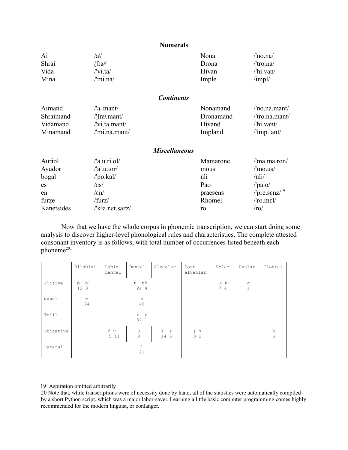#### **Numerals**

| Ai         | /ai/                                       | Nona      | $/$ no.na $/$                        |
|------------|--------------------------------------------|-----------|--------------------------------------|
| Shrai      | $/$ fra $\frac{1}{2}$                      | Drona     | /'tro.na/                            |
| Vida       | $\sqrt{\text{v}i.ta}$                      | Hivan     | /'hi.van/                            |
| Mina       | /'mi.na/                                   | Imple     | $\text{/impl/}$                      |
|            | <b>Continents</b>                          |           |                                      |
| Aimand     | $\alpha$ .mant/                            | Nonamand  | /'no.na.mant/                        |
| Shraimand  | /'frai.mant/                               | Dronamand | /'tro.na.mant/                       |
| Vidamand   | $\sqrt{\text{v}}$ i.ta.mant/               | Hivand    | $\theta$ hi.vant/                    |
| Minamand   | /'mi.na.mant/                              | Impland   | /'imp.lant/                          |
|            | <b>Miscellaneous</b>                       |           |                                      |
| Auriol     | $/$ a.u.ri.ol $/$                          | Mamarone  | /'ma.ma.ron/                         |
| Ayudor     | $\alpha$ <sup>i</sup> .u.tor/              | mous      | $\prime$ 'mo.us $\prime$             |
| bogal      | /'po.kal/                                  | nli       | $\ln\left i\right $                  |
| es         | $\sqrt{\varepsilon s}$                     | Pao       | $/$ pa.o $/$                         |
| en         | $\ell$ and                                 | praesens  | /'pre.s $\epsilon$ nz/ <sup>19</sup> |
| furze      | /furz/                                     | Rhomel    | $/$ ro.mel/                          |
| Kanetsides | /'k <sup>h</sup> a.net.sa <sup>j</sup> tz/ | ro        | $\prime$ ro $\prime$                 |

Now that we have the whole corpus in phonemic transcription, we can start doing some analysis to discover higher-level phonological rules and characteristics. The complete attested consonant inventory is as follows, with total number of occurrences listed beneath each phoneme<sup>[20](#page-12-1)</sup>:

|           | Bilabial                                        | Labio-<br>dental                              | Dental                    | Alveolar                  | Post-<br>alveolar          | Velar                  | Uvular        | Glottal |
|-----------|-------------------------------------------------|-----------------------------------------------|---------------------------|---------------------------|----------------------------|------------------------|---------------|---------|
| Plosive   | $\begin{matrix} p & p^h \\ 12 & 3 \end{matrix}$ | t th<br>24 4                                  |                           |                           |                            | k k <sup>h</sup><br>74 | $\frac{q}{1}$ |         |
| Nasal     | m<br>24                                         | n<br>48                                       |                           |                           |                            |                        |               |         |
| Trill     |                                                 | $\begin{matrix} r & r \\ 32 & 1 \end{matrix}$ |                           |                           |                            |                        |               |         |
| Fricative |                                                 | f v<br>5 1 1                                  | $\Theta$<br>$\mathcal{G}$ | S<br>$\mathbf{Z}$<br>14 5 | $\int$ 3<br>3 <sup>2</sup> |                        |               | h<br>6  |
| Lateral   |                                                 |                                               | 1<br>21                   |                           |                            |                        |               |         |

<span id="page-12-0"></span><sup>19</sup> Aspiration omitted arbitrarily

<span id="page-12-1"></span><sup>20</sup> Note that, while transcriptions were of necessity done by hand, all of the statistics were automatically compiled by a short Python script, which was a major labor-saver. Learning a little basic computer programming comes highly recommended for the modern linguist, or conlanger.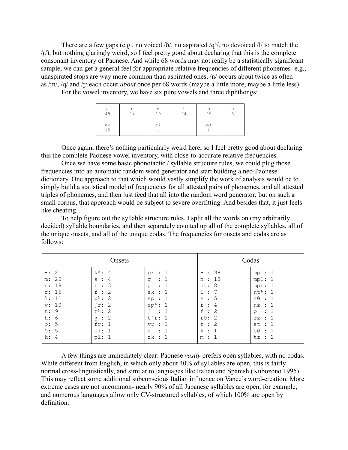There are a few gaps (e.g., no voiced  $\delta/$ , no aspirated  $/q<sup>h</sup>/$ , no devoiced  $\delta/$  to match the  $\langle r \rangle$ , but nothing glaringly weird, so I feel pretty good about declaring that this is the complete consonant inventory of Paonese. And while 68 words may not really be a statistically significant sample, we can get a general feel for appropriate relative frequencies of different phonemes- e.g., unaspirated stops are way more common than aspirated ones, /n/ occurs about twice as often as /m/, /q/ and /r/ each occur *about* once per 68 words (maybe a little more, maybe a little less)

For the vowel inventory, we have six pure vowels and three diphthongs:

| a        | ε  | e  | 24 | $\circ$ | u |
|----------|----|----|----|---------|---|
| 48       | 14 | 19 |    | 29      | 8 |
| аj<br>15 |    | ej |    | оj      |   |

Once again, there's nothing particularly weird here, so I feel pretty good about declaring this the complete Paonese vowel inventory, with close-to-accurate relative frequencies.

Once we have some basic phonotactic / syllable structure rules, we could plug those frequencies into an automatic random word generator and start building a neo-Paonese dictionary. One approach to that which would vastly simplify the work of analysis would be to simply build a statistical model of frequencies for all attested pairs of phonemes, and all attested triples of phonemes, and then just feed that all into the random word generator; but on such a small corpus, that approach would be subject to severe overfitting. And besides that, it just feels like cheating.

To help figure out the syllable structure rules, I split all the words on (my arbitrarily decided) syllable boundaries, and then separately counted up all of the complete syllables, all of the unique onsets, and all of the unique codas. The frequencies for onsets and codas are as follows:

| Onsets                                                                                               |                                                                                                                                                  |                                                                                                                                                           | Codas                                                                                                                        |                                                                                                                            |  |
|------------------------------------------------------------------------------------------------------|--------------------------------------------------------------------------------------------------------------------------------------------------|-----------------------------------------------------------------------------------------------------------------------------------------------------------|------------------------------------------------------------------------------------------------------------------------------|----------------------------------------------------------------------------------------------------------------------------|--|
| $-: 21$<br>m: 20<br>n: 18<br>r: 15<br>1: 11<br>v: 10<br>t: 9<br>h: 6<br>p: 5<br>$\theta$ : 5<br>k: 4 | $k^h$ : 4<br>4<br>$s$ :<br>tr: 3<br>$\therefore$ 2<br>f<br>$p^h$ : 2<br>-2<br>r:<br>$t^h$ : 2<br>-2<br>$\mathcal{B}$ :<br>fr:<br>nl: 1<br>$p1$ : | pr<br>q<br>$\therefore$ 1<br>ŗ<br>sk : 1<br>sp:1<br>$\text{sp}^{\text{h}}$ : 1<br>$\ddot{\phantom{a}}$<br>$t^h r$ : 1<br>vr:1<br>$\cdot$ 1<br>Z<br>zk : 1 | : 98<br>n : 18<br>nt: 8<br>1:7<br>: 5<br>S<br>4<br>$\mathbf{r}$<br>r<br>: 2<br>f<br>$r\theta$ : 2<br>t : 2<br>k : 1<br>m : 1 | mp:1<br>mp1:1<br>mpr: 1<br>$nth$ : 1<br>$n\theta$ : 1<br>nz : 1<br>: 1<br>p<br>rz : 1<br>st : 1<br>$s\theta : 1$<br>tz : 1 |  |

A few things are immediately clear: Paonese *vastly* prefers open syllables, with no codas. While different from English, in which only about 40% of syllables are open, this is fairly normal cross-linguistically, and similar to languages like Italian and Spanish (Kubozono 1995). This may reflect some additional subconscious Italian influence on Vance's word-creation. More extreme cases are not uncommon- nearly 90% of all Japanese syllables are open, for example, and numerous languages allow only CV-structured syllables, of which 100% are open by definition.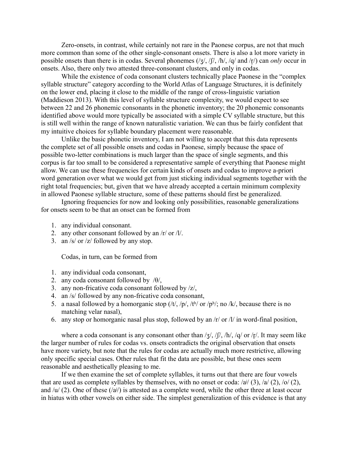Zero-onsets, in contrast, while certainly not rare in the Paonese corpus, are not that much more common than some of the other single-consonant onsets. There is also a lot more variety in possible onsets than there is in codas. Several phonemes (/ʒ/, /ʃ/, /h/, /q/ and /rr/) can *only* occur in onsets. Also, there only two attested three-consonant clusters, and only in codas.

While the existence of coda consonant clusters technically place Paonese in the "complex syllable structure" category according to the World Atlas of Language Structures, it is definitely on the lower end, placing it close to the middle of the range of cross-linguistic variation (Maddieson 2013). With this level of syllable structure complexity, we would expect to see between 22 and 26 phonemic consonants in the phonetic inventory; the 20 phonemic consonants identified above would more typically be associated with a simple CV syllable structure, but this is still well within the range of known naturalistic variation. We can thus be fairly confident that my intuitive choices for syllable boundary placement were reasonable.

Unlike the basic phonetic inventory, I am not willing to accept that this data represents the complete set of all possible onsets and codas in Paonese, simply because the space of possible two-letter combinations is much larger than the space of single segments, and this corpus is far too small to be considered a representative sample of everything that Paonese might allow. We can use these frequencies for certain kinds of onsets and codas to improve a-priori word generation over what we would get from just sticking individual segments together with the right total frequencies; but, given that we have already accepted a certain minimum complexity in allowed Paonese syllable structure, some of these patterns should first be generalized.

Ignoring frequencies for now and looking only possibilities, reasonable generalizations for onsets seem to be that an onset can be formed from

- 1. any individual consonant.
- 2. any other consonant followed by an /r/ or /l/.
- 3. an /s/ or /z/ followed by any stop.

Codas, in turn, can be formed from

- 1. any individual coda consonant,
- 2. any coda consonant followed by  $/θ$ ,
- 3. any non-fricative coda consonant followed by /z/,
- 4. an /s/ followed by any non-fricative coda consonant,
- 5. a nasal followed by a homorganic stop  $/(t/$ ,  $/p/$ ,  $/t<sup>h</sup>/$  or  $/p<sup>h</sup>/$ ; no  $/k/$ , because there is no matching velar nasal),
- 6. any stop or homorganic nasal plus stop, followed by an  $\pi$  or  $\pi$  in word-final position,

where a coda consonant is any consonant other than  $\frac{1}{3}$ ,  $\frac{1}{1}$ ,  $\frac{1}{n}$ ,  $\frac{1}{q}$  or  $\frac{1}{r}$ . It may seem like the larger number of rules for codas vs. onsets contradicts the original observation that onsets have more variety, but note that the rules for codas are actually much more restrictive, allowing only specific special cases. Other rules that fit the data are possible, but these ones seem reasonable and aesthetically pleasing to me.

If we then examine the set of complete syllables, it turns out that there are four vowels that are used as complete syllables by themselves, with no onset or coda:  $\frac{ai}{(3)}$ ,  $\frac{ai}{(2)}$ ,  $\frac{aj}{(2)}$ ,  $\frac{aj}{(2)}$ ,  $\frac{aj}{(2)}$ , and  $/u/(2)$ . One of these  $(2)$  is attested as a complete word, while the other three at least occur in hiatus with other vowels on either side. The simplest generalization of this evidence is that any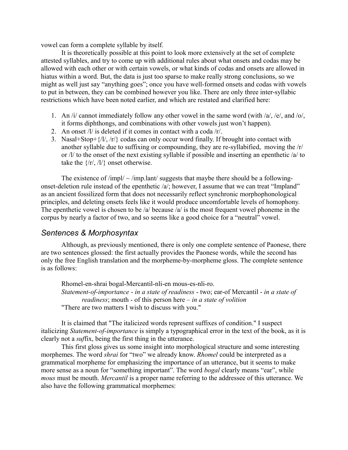vowel can form a complete syllable by itself.

It is theoretically possible at this point to look more extensively at the set of complete attested syllables, and try to come up with additional rules about what onsets and codas may be allowed with each other or with certain vowels, or what kinds of codas and onsets are allowed in hiatus within a word. But, the data is just too sparse to make really strong conclusions, so we might as well just say "anything goes"; once you have well-formed onsets and codas with vowels to put in between, they can be combined however you like. There are only three inter-syllabic restrictions which have been noted earlier, and which are restated and clarified here:

- 1. An /i/ cannot immediately follow any other vowel in the same word (with  $\frac{a}{2}$ ,  $\frac{e}{2}$ , and  $\frac{o}{2}$ , it forms diphthongs, and combinations with other vowels just won't happen).
- 2. An onset /l/ is deleted if it comes in contact with a coda /r/.
- 3. Nasal+Stop+ $\frac{f}{l}$ ,  $\frac{f}{r}$  codas can only occur word finally. If brought into contact with another syllable due to suffixing or compounding, they are re-syllabified, moving the /r/ or  $\Lambda$  to the onset of the next existing syllable if possible and inserting an epenthetic  $\Lambda$  to take the  $\{/r\}$ ,  $/l\}$  onset otherwise.

The existence of /impl/  $\sim$ /imp.lant/ suggests that maybe there should be a followingonset-deletion rule instead of the epenthetic /a/; however, I assume that we can treat "Impland" as an ancient fossilized form that does not necessarily reflect synchronic morphophonological principles, and deleting onsets feels like it would produce uncomfortable levels of homophony. The epenthetic vowel is chosen to be /a/ because /a/ is the most frequent vowel phoneme in the corpus by nearly a factor of two, and so seems like a good choice for a "neutral" vowel.

### *Sentences & Morphosyntax*

Although, as previously mentioned, there is only one complete sentence of Paonese, there are two sentences glossed: the first actually provides the Paonese words, while the second has only the free English translation and the morpheme-by-morpheme gloss. The complete sentence is as follows:

Rhomel-en-shrai bogal-Mercantil-nli-en mous-es-nli-ro. *Statement-of-importance* - *in a state of readiness* - two; ear-of Mercantil - *in a state of readiness*; mouth - of this person here – *in a state of volition* "There are two matters I wish to discuss with you."

It is claimed that "The italicized words represent suffixes of condition." I suspect italicizing *Statement-of-importance* is simply a typographical error in the text of the book, as it is clearly not a *suf*fix, being the first thing in the utterance.

This first gloss gives us some insight into morphological structure and some interesting morphemes. The word *shrai* for "two" we already know. *Rhomel* could be interpreted as a grammatical morpheme for emphasizing the importance of an utterance, but it seems to make more sense as a noun for "something important". The word *bogal* clearly means "ear", while *mous* must be mouth. *Mercantil* is a proper name referring to the addressee of this utterance. We also have the following grammatical morphemes: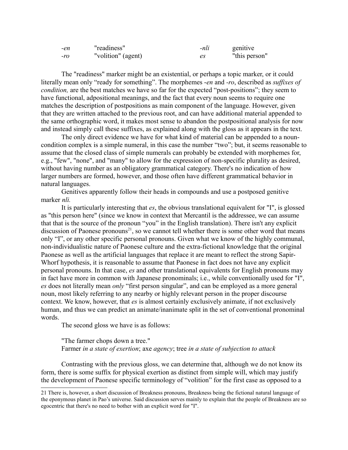| -en    | "readiness"        | -nli | genitive      |
|--------|--------------------|------|---------------|
| $-r_0$ | "volition" (agent) | es   | "this person" |

The "readiness" marker might be an existential, or perhaps a topic marker, or it could literally mean only "ready for something". The morphemes -*en* and *-ro*, described as *suffixes of condition*, are the best matches we have so far for the expected "post-positions"; they seem to have functional, adpositional meanings, and the fact that every noun seems to require one matches the description of postpositions as main component of the language. However, given that they are written attached to the previous root, and can have additional material appended to the same orthographic word, it makes most sense to abandon the postpositional analysis for now and instead simply call these suffixes, as explained along with the gloss as it appears in the text.

The only direct evidence we have for what kind of material can be appended to a nouncondition complex is a simple numeral, in this case the number "two"; but, it seems reasonable to assume that the closed class of simple numerals can probably be extended with morphemes for, e.g., "few", "none", and "many" to allow for the expression of non-specific plurality as desired, without having number as an obligatory grammatical category. There's no indication of how larger numbers are formed, however, and those often have different grammatical behavior in natural languages.

Genitives apparently follow their heads in compounds and use a postposed genitive marker *nli.*

It is particularly interesting that *es*, the obvious translational equivalent for "I", is glossed as "this person here" (since we know in context that Mercantil is the addressee, we can assume that that is the source of the pronoun "you" in the English translation). There isn't any explicit discussion of Paonese pronouns<sup>[21](#page-16-0)</sup>, so we cannot tell whether there is some other word that means only "I", or any other specific personal pronouns. Given what we know of the highly communal, non-individualistic nature of Paonese culture and the extra-fictional knowledge that the original Paonese as well as the artificial languages that replace it are meant to reflect the strong Sapir-Whorf hypothesis, it is reasonable to assume that Paonese in fact does not have any explicit personal pronouns. In that case, *es* and other translational equivalents for English pronouns may in fact have more in common with Japanese pronominals; i.e., while conventionally used for "I", *es* does not literally mean *only* "first person singular", and can be employed as a more general noun, most likely referring to any nearby or highly relevant person in the proper discourse context. We know, however, that *es* is almost certainly exclusively animate, if not exclusively human, and thus we can predict an animate/inanimate split in the set of conventional pronominal words.

The second gloss we have is as follows:

"The farmer chops down a tree." Farmer *in a state of exertion*; axe *agency*; tree *in a state of subjection to attack*

Contrasting with the previous gloss, we can determine that, although we do not know its form, there is some suffix for physical exertion as distinct from simple will, which may justify the development of Paonese specific terminology of "volition" for the first case as opposed to a

<span id="page-16-0"></span><sup>21</sup> There is, however, a short discussion of Breakness pronouns, Breakness being the fictional natural language of the eponymous planet in Pao's universe. Said discussion serves mainly to explain that the people of Breakness are so egocentric that there's no need to bother with an explicit word for "I".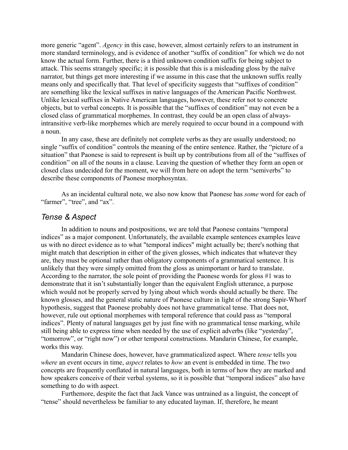more generic "agent". *Agency* in this case, however, almost certainly refers to an instrument in more standard terminology, and is evidence of another "suffix of condition" for which we do not know the actual form. Further, there is a third unknown condition suffix for being subject to attack. This seems strangely specific; it is possible that this is a misleading gloss by the naïve narrator, but things get more interesting if we assume in this case that the unknown suffix really means only and specifically that. That level of specificity suggests that "suffixes of condition" are something like the lexical suffixes in native languages of the American Pacific Northwest. Unlike lexical suffixes in Native American languages, however, these refer not to concrete objects, but to verbal concepts. It is possible that the "suffixes of condition" may not even be a closed class of grammatical morphemes. In contrast, they could be an open class of alwaysintransitive verb-like morphemes which are merely required to occur bound in a compound with a noun.

In any case, these are definitely not complete verbs as they are usually understood; no single "suffix of condition" controls the meaning of the entire sentence. Rather, the "picture of a situation" that Paonese is said to represent is built up by contributions from all of the "suffixes of condition" on all of the nouns in a clause. Leaving the question of whether they form an open or closed class undecided for the moment, we will from here on adopt the term "semiverbs" to describe these components of Paonese morphosyntax.

As an incidental cultural note, we also now know that Paonese has *some* word for each of "farmer", "tree", and "ax".

#### *Tense & Aspect*

In addition to nouns and postpositions, we are told that Paonese contains "temporal indices" as a major component. Unfortunately, the available example sentences examples leave us with no direct evidence as to what "temporal indices" might actually be; there's nothing that might match that description in either of the given glosses, which indicates that whatever they are, they must be optional rather than obligatory components of a grammatical sentence. It is unlikely that they were simply omitted from the gloss as unimportant or hard to translate. According to the narrator, the sole point of providing the Paonese words for gloss #1 was to demonstrate that it isn't substantially longer than the equivalent English utterance, a purpose which would not be properly served by lying about which words should actually be there. The known glosses, and the general static nature of Paonese culture in light of the strong Sapir-Whorf hypothesis, suggest that Paonese probably does not have grammatical tense. That does not, however, rule out optional morphemes with temporal reference that could pass as "temporal indices". Plenty of natural languages get by just fine with no grammatical tense marking, while still being able to express time when needed by the use of explicit adverbs (like "yesterday", "tomorrow", or "right now") or other temporal constructions. Mandarin Chinese, for example, works this way.

Mandarin Chinese does, however, have grammaticalized aspect. Where *tense* tells you *where* an event occurs in time, *aspect* relates to *how* an event is embedded in time. The two concepts are frequently conflated in natural languages, both in terms of how they are marked and how speakers conceive of their verbal systems, so it is possible that "temporal indices" also have something to do with aspect.

Furthemore, despite the fact that Jack Vance was untrained as a linguist, the concept of "tense" should nevertheless be familiar to any educated layman. If, therefore, he meant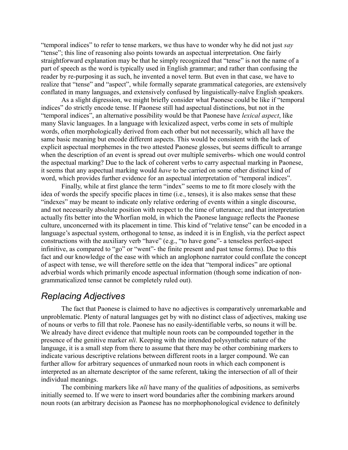"temporal indices" to refer to tense markers, we thus have to wonder why he did not just *say* "tense"; this line of reasoning also points towards an aspectual interpretation. One fairly straightforward explanation may be that he simply recognized that "tense" is not the name of a part of speech as the word is typically used in English grammar; and rather than confusing the reader by re-purposing it as such, he invented a novel term. But even in that case, we have to realize that "tense" and "aspect", while formally separate grammatical categories, are extensively conflated in many languages, and extensively confused by linguistically-naïve English speakers.

As a slight digression, we might briefly consider what Paonese could be like if "temporal indices" do strictly encode tense. If Paonese still had aspectual distinctions, but not in the "temporal indices", an alternative possibility would be that Paonese have *lexical aspect*, like many Slavic languages. In a language with lexicalized aspect, verbs come in sets of multiple words, often morphologically derived from each other but not necessarily, which all have the same basic meaning but encode different aspects. This would be consistent with the lack of explicit aspectual morphemes in the two attested Paonese glosses, but seems difficult to arrange when the description of an event is spread out over multiple semiverbs- which one would control the aspectual marking? Due to the lack of coherent verbs to carry aspectual marking in Paonese, it seems that any aspectual marking would *have* to be carried on some other distinct kind of word, which provides further evidence for an aspectual interpretation of "temporal indices".

Finally, while at first glance the term "index" seems to me to fit more closely with the idea of words the specify specific places in time (i.e., tenses), it is also makes sense that these "indexes" may be meant to indicate only relative ordering of events within a single discourse, and not necessarily absolute position with respect to the time of utterance; and that interpretation actually fits better into the Whorfian mold, in which the Paonese language reflects the Paonese culture, unconcerned with its placement in time. This kind of "relative tense" can be encoded in a language's aspectual system, orthogonal to tense, as indeed it is in English, via the perfect aspect constructions with the auxiliary verb "have" (e.g., "to have gone"- a tenseless perfect-aspect infinitive, as compared to "go" or "went"- the finite present and past tense forms). Due to this fact and our knowledge of the ease with which an anglophone narrator could conflate the concept of aspect with tense, we will therefore settle on the idea that "temporal indices" are optional adverbial words which primarily encode aspectual information (though some indication of nongrammaticalized tense cannot be completely ruled out).

## *Replacing Adjectives*

The fact that Paonese is claimed to have no adjectives is comparatively unremarkable and unproblematic. Plenty of natural languages get by with no distinct class of adjectives, making use of nouns or verbs to fill that role. Paonese has no easily-identifiable verbs, so nouns it will be. We already have direct evidence that multiple noun roots can be compounded together in the presence of the genitive marker *nli*. Keeping with the intended polysynthetic nature of the language, it is a small step from there to assume that there may be other combining markers to indicate various descriptive relations between different roots in a larger compound. We can further allow for arbitrary sequences of unmarked noun roots in which each component is interpreted as an alternate descriptor of the same referent, taking the intersection of all of their individual meanings.

The combining markers like *nli* have many of the qualities of adpositions, as semiverbs initially seemed to. If we were to insert word boundaries after the combining markers around noun roots (an arbitrary decision as Paonese has no morphophonological evidence to definitely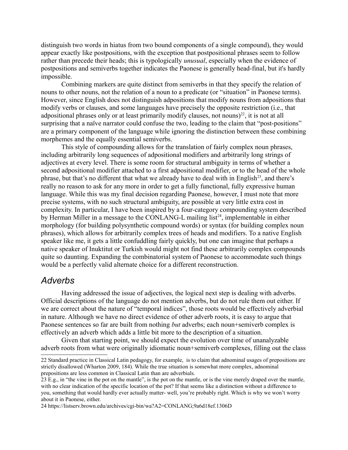distinguish two words in hiatus from two bound components of a single compound), they would appear exactly like postpositions, with the exception that postpositional phrases seem to follow rather than precede their heads; this is typologically *unusual*, especially when the evidence of postpositions and semiverbs together indicates the Paonese is generally head-final, but it's hardly impossible.

Combining markers are quite distinct from semiverbs in that they specify the relation of nouns to other nouns, not the relation of a noun to a predicate (or "situation" in Paonese terms). However, since English does not distinguish adpositions that modify nouns from adpositions that modify verbs or clauses, and some languages have precisely the opposite restriction (i.e., that adpositional phrases only or at least primarily modify clauses, not nouns)<sup>[22](#page-19-0)</sup>, it is not at all surprising that a naïve narrator could confuse the two, leading to the claim that "post-positions" are a primary component of the language while ignoring the distinction between these combining morphemes and the equally essential semiverbs.

This style of compounding allows for the translation of fairly complex noun phrases, including arbitrarily long sequences of adpositional modifiers and arbitrarily long strings of adjectives at every level. There is some room for structural ambiguity in terms of whether a second adpositional modifier attached to a first adpositional modifier, or to the head of the whole phrase, but that's no different that what we already have to deal with in English<sup>[23](#page-19-1)</sup>, and there's really no reason to ask for any more in order to get a fully functional, fully expressive human language. While this was my final decision regarding Paonese, however, I must note that more precise systems, with no such structural ambiguity, are possible at very little extra cost in complexity. In particular, I have been inspired by a four-category compounding system described by Herman Miller in a message to the CONLANG-L mailing list<sup>[24](#page-19-2)</sup>, implementable in either morphology (for building polysynthetic compound words) or syntax (for building complex noun phrases), which allows for arbitrarily complex trees of heads and modifiers. To a native English speaker like me, it gets a little confuddling fairly quickly, but one can imagine that perhaps a native speaker of Inuktitut or Turkish would might not find these arbitrarily complex compounds quite so daunting. Expanding the combinatorial system of Paonese to accommodate such things would be a perfectly valid alternate choice for a different reconstruction.

## *Adverbs*

Having addressed the issue of adjectives, the logical next step is dealing with adverbs. Official descriptions of the language do not mention adverbs, but do not rule them out either. If we are correct about the nature of "temporal indices", those roots would be effectively adverbial in nature. Although we have no direct evidence of other adverb roots, it is easy to argue that Paonese sentences so far are built from nothing *but* adverbs; each noun+semiverb complex is effectively an adverb which adds a little bit more to the description of a situation.

Given that starting point, we should expect the evolution over time of unanalyzable adverb roots from what were originally idiomatic noun+semiverb complexes, filling out the class

<span id="page-19-0"></span><sup>22</sup> Standard practice in Classical Latin pedagogy, for example, is to claim that adnominal usages of prepositions are strictly disallowed (Wharton 2009, 184). While the true situation is somewhat more complex, adnominal prepositions are less common in Classical Latin than are adverbials.

<span id="page-19-1"></span><sup>23</sup> E.g., in "the vine in the pot on the mantle", is the pot on the mantle, or is the vine merely draped over the mantle, with no clear indication of the specific location of the pot? If that seems like a distinction without a difference to you, something that would hardly ever actually matter- well, you're probably right. Which is why we won't worry about it in Paonese, either.

<span id="page-19-2"></span><sup>24</sup> https://listserv.brown.edu/archives/cgi-bin/wa?A2=CONLANG;9a6d18ef.1306D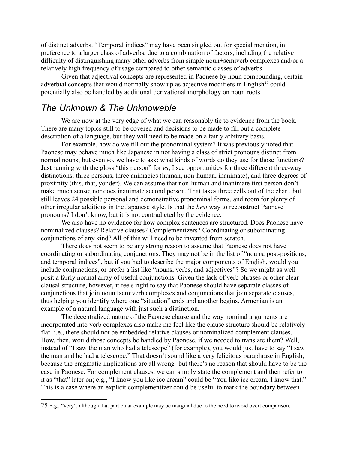of distinct adverbs. "Temporal indices" may have been singled out for special mention, in preference to a larger class of adverbs, due to a combination of factors, including the relative difficulty of distinguishing many other adverbs from simple noun+semiverb complexes and/or a relatively high frequency of usage compared to other semantic classes of adverbs.

Given that adjectival concepts are represented in Paonese by noun compounding, certain adverbial concepts that would normally show up as adjective modifiers in English<sup>[25](#page-20-0)</sup> could potentially also be handled by additional derivational morphology on noun roots.

## *The Unknown & The Unknowable*

We are now at the very edge of what we can reasonably tie to evidence from the book. There are many topics still to be covered and decisions to be made to fill out a complete description of a language, but they will need to be made on a fairly arbitrary basis.

For example, how do we fill out the pronominal system? It was previously noted that Paonese may behave much like Japanese in not having a class of strict pronouns distinct from normal nouns; but even so, we have to ask: what kinds of words do they use for those functions? Just running with the gloss "this person" for *es*, I see opportunities for three different three-way distinctions: three persons, three animacies (human, non-human, inanimate), and three degrees of proximity (this, that, yonder). We can assume that non-human and inanimate first person don't make much sense; nor does inanimate second person. That takes three cells out of the chart, but still leaves 24 possible personal and demonstrative pronominal forms, and room for plenty of other irregular additions in the Japanese style. Is that the *best* way to reconstruct Paonese pronouns? I don't know, but it is not contradicted by the evidence.

We also have no evidence for how complex sentences are structured. Does Paonese have nominalized clauses? Relative clauses? Complementizers? Coordinating or subordinating conjunctions of any kind? All of this will need to be invented from scratch.

There does not seem to be any strong reason to assume that Paonese does not have coordinating or subordinating conjunctions. They may not be in the list of "nouns, post-positions, and temporal indices", but if you had to describe the major components of English, would you include conjunctions, or prefer a list like "nouns, verbs, and adjectives"? So we might as well posit a fairly normal array of useful conjunctions. Given the lack of verb phrases or other clear clausal structure, however, it feels right to say that Paonese should have separate classes of conjunctions that join noun+semiverb complexes and conjunctions that join separate clauses, thus helping you identify where one "situation" ends and another begins. Armenian is an example of a natural language with just such a distinction.

The decentralized nature of the Paonese clause and the way nominal arguments are incorporated into verb complexes also make me feel like the clause structure should be relatively flat- i.e., there should not be embedded relative clauses or nominalized complement clauses. How, then, would those concepts be handled by Paonese, if we needed to translate them? Well, instead of "I saw the man who had a telescope" (for example), you would just have to say "I saw the man and he had a telescope." That doesn't sound like a very felicitous paraphrase in English, because the pragmatic implications are all wrong- but there's no reason that should have to be the case in Paonese. For complement clauses, we can simply state the complement and then refer to it as "that" later on; e.g., "I know you like ice cream" could be "You like ice cream, I know that." This is a case where an explicit complementizer could be useful to mark the boundary between

<span id="page-20-0"></span><sup>25</sup> E.g., "very", although that particular example may be marginal due to the need to avoid overt comparison.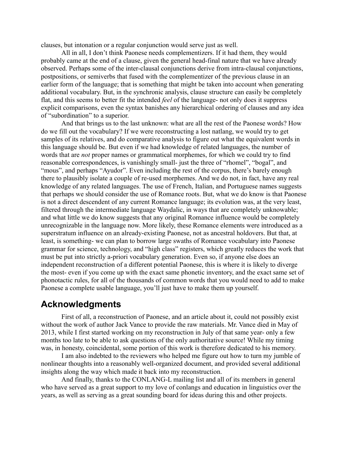clauses, but intonation or a regular conjunction would serve just as well.

All in all, I don't think Paonese needs complementizers. If it had them, they would probably came at the end of a clause, given the general head-final nature that we have already observed. Perhaps some of the inter-clausal conjunctions derive from intra-clausal conjunctions, postpositions, or semiverbs that fused with the complementizer of the previous clause in an earlier form of the language; that is something that might be taken into account when generating additional vocabulary. But, in the synchronic analysis, clause structure can easily be completely flat, and this seems to better fit the intended *feel* of the language- not only does it suppress explicit comparisons, even the syntax banishes any hierarchical ordering of clauses and any idea of "subordination" to a superior.

And that brings us to the last unknown: what are all the rest of the Paonese words? How do we fill out the vocabulary? If we were reconstructing a lost natlang, we would try to get samples of its relatives, and do comparative analysis to figure out what the equivalent words in this language should be. But even if we had knowledge of related languages, the number of words that are *not* proper names or grammatical morphemes, for which we could try to find reasonable correspondences, is vanishingly small- just the three of "rhomel", "bogal", and "mous", and perhaps "Ayudor". Even including the rest of the corpus, there's barely enough there to plausibly isolate a couple of re-used morphemes. And we do not, in fact, have any real knowledge of any related languages. The use of French, Italian, and Portuguese names suggests that perhaps we should consider the use of Romance roots. But, what we do know is that Paonese is not a direct descendent of any current Romance language; its evolution was, at the very least, filtered through the intermediate language Waydalic, in ways that are completely unknowable; and what little we do know suggests that any original Romance influence would be completely unrecognizable in the language now. More likely, these Romance elements were introduced as a superstratum influence on an already-existing Paonese, not as ancestral holdovers. But that, at least, is something- we can plan to borrow large swaths of Romance vocabulary into Paonese grammar for science, technology, and "high class" registers, which greatly reduces the work that must be put into strictly a-priori vocabulary generation. Even so, if anyone else does an independent reconstruction of a different potential Paonese, this is where it is likely to diverge the most- even if you come up with the exact same phonetic inventory, and the exact same set of phonotactic rules, for all of the thousands of common words that you would need to add to make Paonese a complete usable language, you'll just have to make them up yourself.

## **Acknowledgments**

First of all, a reconstruction of Paonese, and an article about it, could not possibly exist without the work of author Jack Vance to provide the raw materials. Mr. Vance died in May of 2013, while I first started working on my reconstruction in July of that same year- only a few months too late to be able to ask questions of the only authoritative source! While my timing was, in honesty, coincidental, some portion of this work is therefore dedicated to his memory.

I am also indebted to the reviewers who helped me figure out how to turn my jumble of nonlinear thoughts into a reasonably well-organized document, and provided several additional insights along the way which made it back into my reconstruction.

And finally, thanks to the CONLANG-L mailing list and all of its members in general who have served as a great support to my love of conlangs and education in linguistics over the years, as well as serving as a great sounding board for ideas during this and other projects.